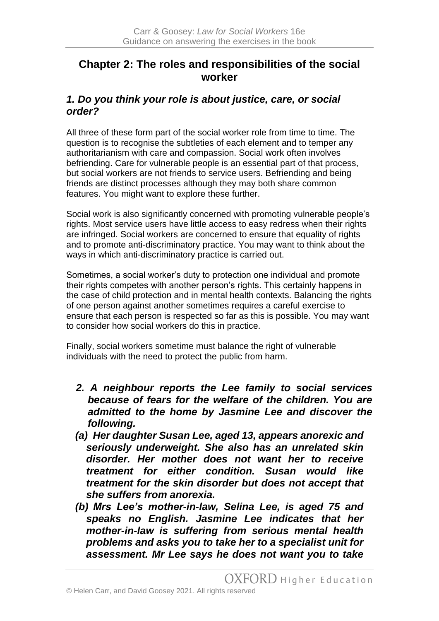# **Chapter 2: The roles and responsibilities of the social worker**

## *1. Do you think your role is about justice, care, or social order?*

All three of these form part of the social worker role from time to time. The question is to recognise the subtleties of each element and to temper any authoritarianism with care and compassion. Social work often involves befriending. Care for vulnerable people is an essential part of that process, but social workers are not friends to service users. Befriending and being friends are distinct processes although they may both share common features. You might want to explore these further.

Social work is also significantly concerned with promoting vulnerable people's rights. Most service users have little access to easy redress when their rights are infringed. Social workers are concerned to ensure that equality of rights and to promote anti-discriminatory practice. You may want to think about the ways in which anti-discriminatory practice is carried out.

Sometimes, a social worker's duty to protection one individual and promote their rights competes with another person's rights. This certainly happens in the case of child protection and in mental health contexts. Balancing the rights of one person against another sometimes requires a careful exercise to ensure that each person is respected so far as this is possible. You may want to consider how social workers do this in practice.

Finally, social workers sometime must balance the right of vulnerable individuals with the need to protect the public from harm.

- *2. A neighbour reports the Lee family to social services because of fears for the welfare of the children. You are admitted to the home by Jasmine Lee and discover the following.*
- *(a) Her daughter Susan Lee, aged 13, appears anorexic and seriously underweight. She also has an unrelated skin disorder. Her mother does not want her to receive treatment for either condition. Susan would like treatment for the skin disorder but does not accept that she suffers from anorexia.*
- *(b) Mrs Lee's mother-in-law, Selina Lee, is aged 75 and speaks no English. Jasmine Lee indicates that her mother-in-law is suffering from serious mental health problems and asks you to take her to a specialist unit for assessment. Mr Lee says he does not want you to take*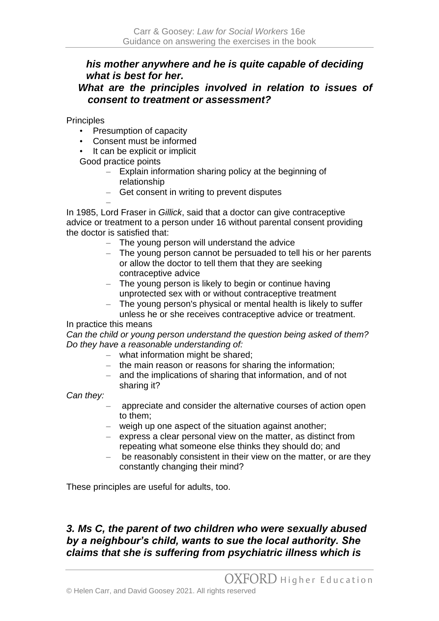## *his mother anywhere and he is quite capable of deciding what is best for her.*

#### *What are the principles involved in relation to issues of consent to treatment or assessment?*

**Principles** 

- Presumption of capacity
- Consent must be informed
- It can be explicit or implicit

Good practice points

- Explain information sharing policy at the beginning of relationship
- Get consent in writing to prevent disputes

– In 1985, Lord Fraser in *Gillick*, said that a doctor can give contraceptive advice or treatment to a person under 16 without parental consent providing the doctor is satisfied that:

- The young person will understand the advice
- The young person cannot be persuaded to tell his or her parents or allow the doctor to tell them that they are seeking contraceptive advice
- The young person is likely to begin or continue having unprotected sex with or without contraceptive treatment
- The young person's physical or mental health is likely to suffer unless he or she receives contraceptive advice or treatment.

In practice this means

*Can the child or young person understand the question being asked of them? Do they have a reasonable understanding of:*

- what information might be shared;
- the main reason or reasons for sharing the information;
- and the implications of sharing that information, and of not sharing it?

*Can they:*

- appreciate and consider the alternative courses of action open to them;
- weigh up one aspect of the situation against another;
- express a clear personal view on the matter, as distinct from repeating what someone else thinks they should do; and
- be reasonably consistent in their view on the matter, or are they constantly changing their mind?

These principles are useful for adults, too.

## *3. Ms C, the parent of two children who were sexually abused by a neighbour's child, wants to sue the local authority. She claims that she is suffering from psychiatric illness which is*